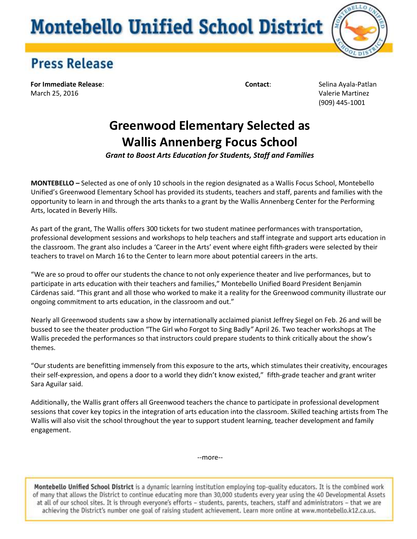# **Montebello Unified School District**



#### **Press Release**

**For Immediate Release**: **Contact**: Selina Ayala-Patlan March 25, 2016 Valerie Martinez

(909) 445-1001

### **Greenwood Elementary Selected as Wallis Annenberg Focus School**

*Grant to Boost Arts Education for Students, Staff and Families* 

**MONTEBELLO** *–* Selected as one of only 10 schools in the region designated as a Wallis Focus School, Montebello Unified's Greenwood Elementary School has provided its students, teachers and staff, parents and families with the opportunity to learn in and through the arts thanks to a grant by the Wallis Annenberg Center for the Performing Arts, located in Beverly Hills.

As part of the grant, The Wallis offers 300 tickets for two student matinee performances with transportation, professional development sessions and workshops to help teachers and staff integrate and support arts education in the classroom. The grant also includes a 'Career in the Arts' event where eight fifth-graders were selected by their teachers to travel on March 16 to the Center to learn more about potential careers in the arts.

"We are so proud to offer our students the chance to not only experience theater and live performances, but to participate in arts education with their teachers and families," Montebello Unified Board President Benjamin Cárdenas said. "This grant and all those who worked to make it a reality for the Greenwood community illustrate our ongoing commitment to arts education, in the classroom and out."

Nearly all Greenwood students saw a show by internationally acclaimed pianist Jeffrey Siegel on Feb. 26 and will be bussed to see the theater production "The Girl who Forgot to Sing Badly*"* April 26. Two teacher workshops at The Wallis preceded the performances so that instructors could prepare students to think critically about the show's themes.

"Our students are benefitting immensely from this exposure to the arts, which stimulates their creativity, encourages their self-expression, and opens a door to a world they didn't know existed," fifth-grade teacher and grant writer Sara Aguilar said.

Additionally, the Wallis grant offers all Greenwood teachers the chance to participate in professional development sessions that cover key topics in the integration of arts education into the classroom. Skilled teaching artists from The Wallis will also visit the school throughout the year to support student learning, teacher development and family engagement.

--more--

Montebello Unified School District is a dynamic learning institution employing top-quality educators. It is the combined work of many that allows the District to continue educating more than 30,000 students every year using the 40 Developmental Assets at all of our school sites. It is through everyone's efforts - students, parents, teachers, staff and administrators - that we are achieving the District's number one goal of raising student achievement. Learn more online at www.montebello.k12.ca.us.